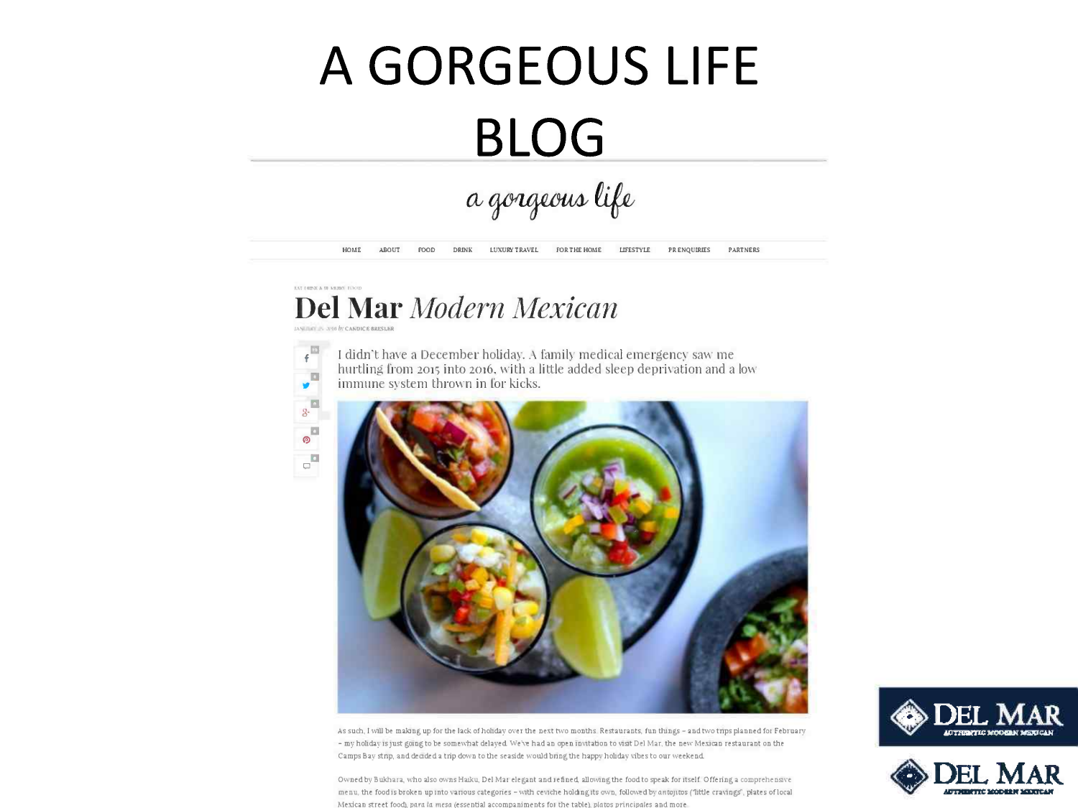# **A GORGEOUS LIFE BLOG**

a gorgeous life

HOME ABOUT FOOD DRINK LUXURY TRAVEL FOR THE HOME LIFESTYLE PRENQUIRIES PARTNERS

## ENT FRIDAY A DE MILIBIO FORDO **Del Mar** *Modern Mexican*



I didn't have a December holiday. A family medical emergency saw me hurtling from 2015 into 2016, with a little added sleep deprivation and a low immune system thrown in [or kicks.



As such, I will be making up for the lack of hohday over the next two months Restaurants, fun things - and two trips planned for February - my holiday is just going to be somewhat delayed. We've had an open invitation to visit Del Mar, the new Mexican restaurant on the Camps Bay stnp, and decided a trip down to the seaside would bring the happy holiday vibes to our weekend.

Owned by Bukhara, who also owns Haiku, Del Mar elegant and refined, allowing the food to speak for itself. Offering a comprehensive menu, the food is broken up into various categories - with ceviche holding its own, followed by antojitos ('little cravings', plates of local Mexican street food), *para la mesa (essential accompaniments for the table), platos principales and more* 



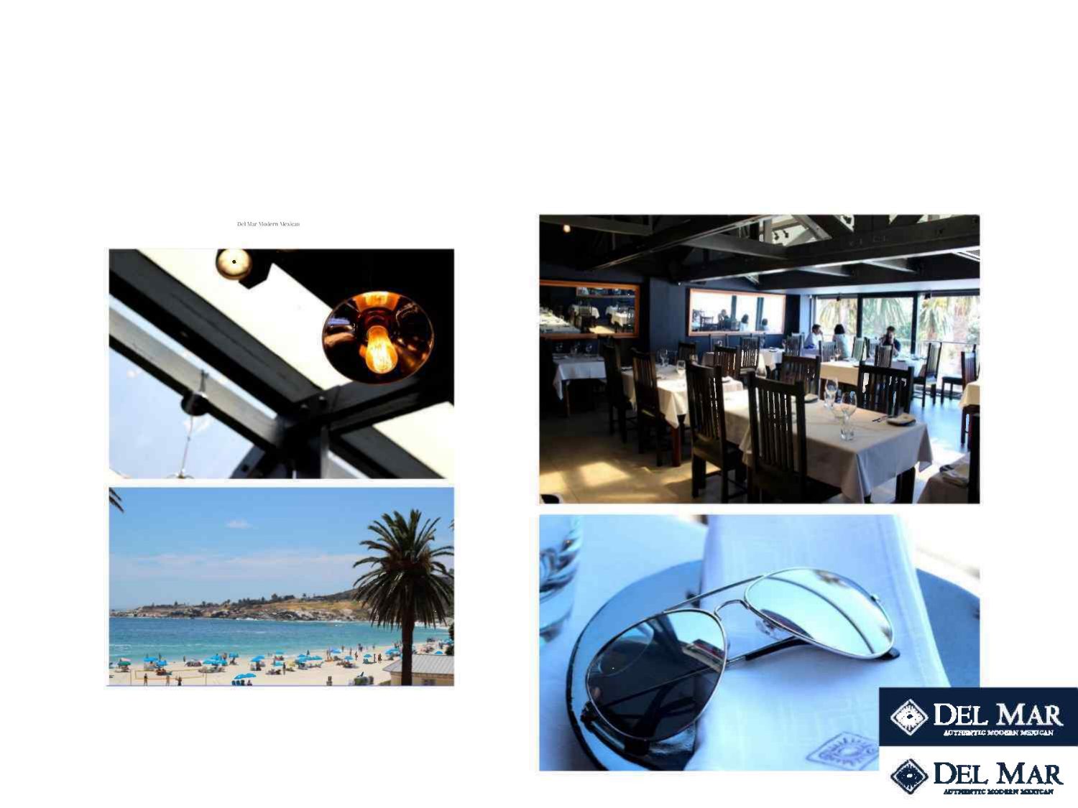Del Mar Modern Mexican





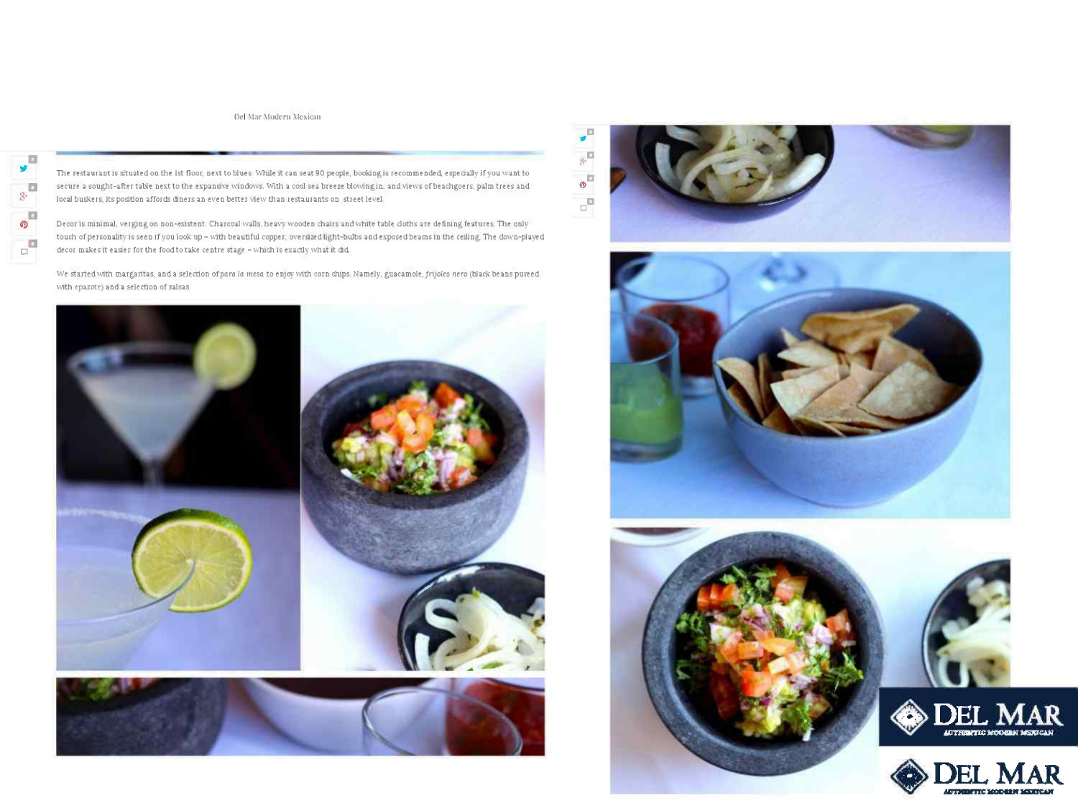Del Mar Modern Mexican



The restaurant is situated on the 1st floor, next to blues. While it can seat 90 people, booking is recommended, especially if you want to secure a sought-after table next to the expansive windows. With a cool sea breeze blowing in, and views of beachgoers, palm trees and local buskers, its position affords diners an even better view than restaurants on street level

Decor is minimal, verging on non-existent. Charcoal walls, heavy wooden chairs and white table cloths are defining features. The only touch of personality is seen if you look up - with beautiful copper, oversized light-bulbs and exposed beams in the ceiling. The down-played decor makes it easier for the food to take centre stage - which is exactly what it did

We started with margaritas, and a selection of para la mesa to enjoy with corn chips. Namely, guacamole, frijoles nero (black beans pureed with epazote) and a selection of salsas.







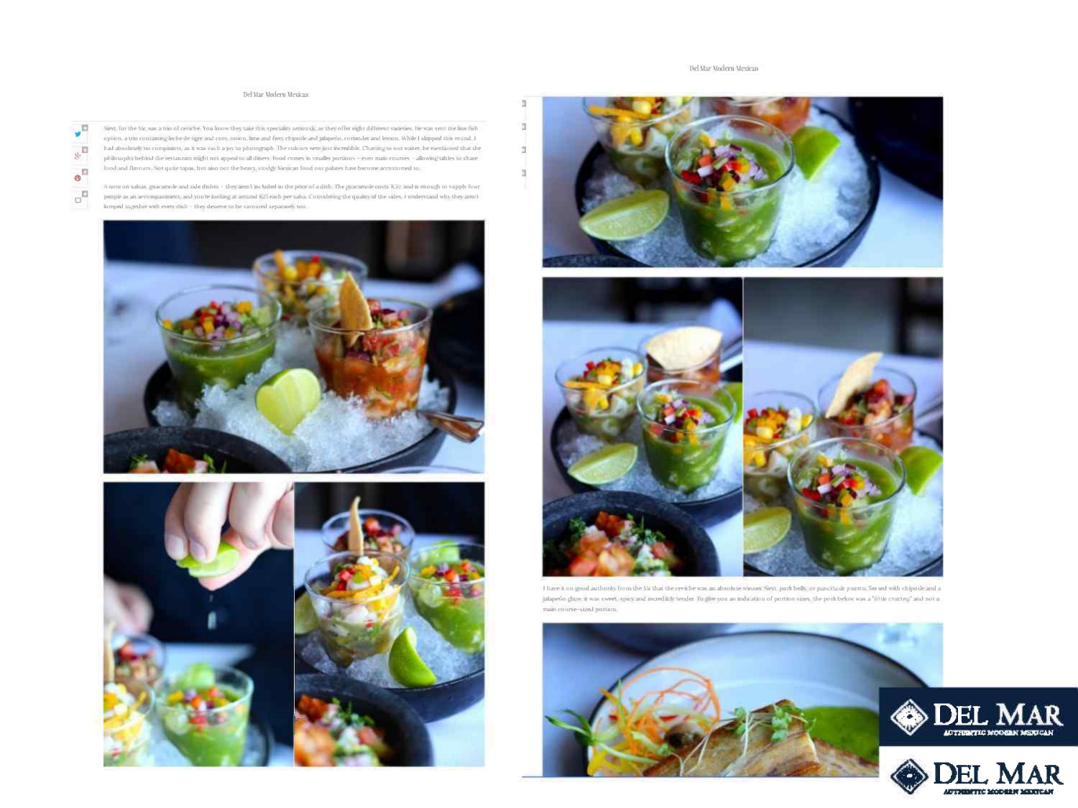#### Del Mar Modern Mexican

 $\overline{\omega}$ 

 $\mathbf{I}$ 

 $\mathfrak{A}$ 

 $\mathfrak{A}^{\prime}$ 

#### Del Mar Medern Mexican

 $\sqrt{n}$  $8 - \Box$  $\boldsymbol{\Phi}^{\text{m}}$  $\mathbf{d}^{\mathbf{B}}$ 

Next, for the Nir, was a trio of cenche. You know they take this speciality sensurily, as they offer eight different varieties. He was sent the line fish option, a trio containing leche de tigre and corn, oninin, lime and fiery chipatle and juliperio, corninder and lemon. While I slopped this round, Ihad absolutely no complaints, as it was such a joy to photograph. The colours were just incredible. Chatting to our waiter, he nientioned that the plidosophybehiist die restaurant might not appeal to all diners. Food comes in smaller portions - eyen main courses - allowing tables to share food and flavours. Not quite tapas, but also not the heavy stodgy Mesican food our palates have become accustomed to

A note on salsas, guaramole and side dishes - they aren't included as the price of a dish. The guaramole costs (EO) and is enough to supply four people as an accompaniment, and you're looking at around R25 each persulsa. Convidening the quality of the sides, I understand why they aren't lumped together with every dish  $\sim$  they deserve to be savoured separately too.









I have it on good authority from the Nr that the ceviche was an absolute winner. Next, pork belly, or pancitude puerco. Served with chipotle and a jalapedio glaze it was sweet, spicy and incredibly tender. Bo jt = you an indication of portion sizes, the pork below was a "title criating" and not a main course-sized portion.





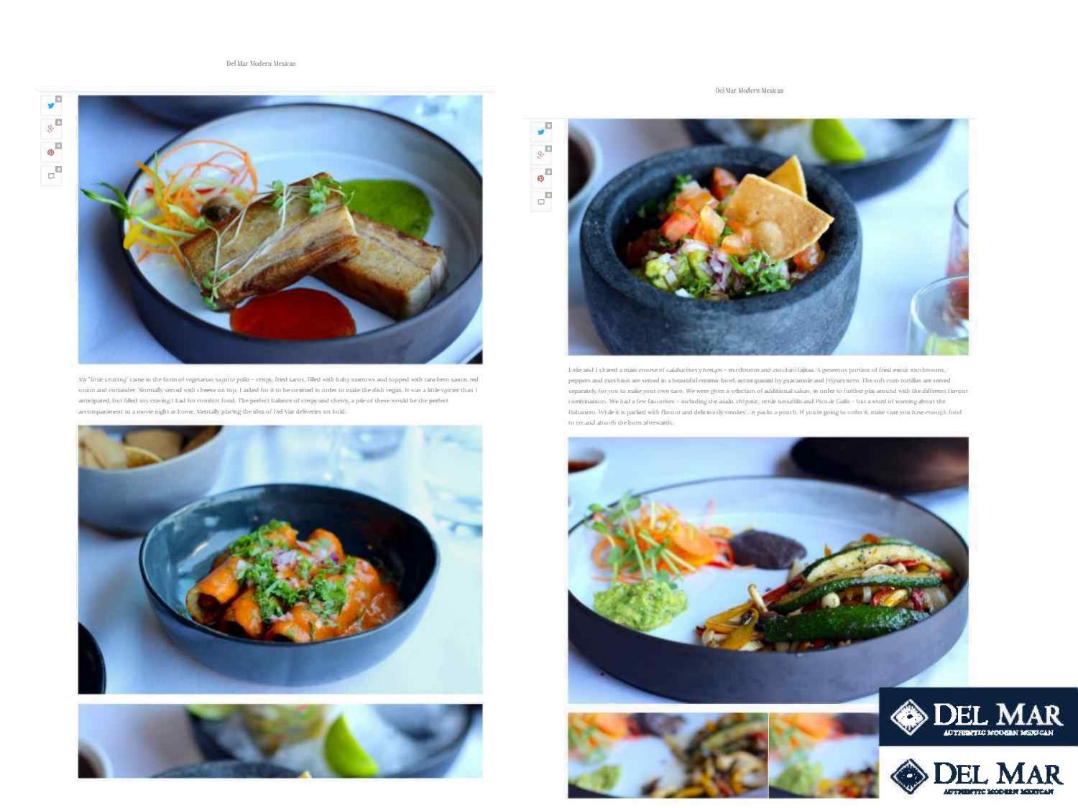

Vis "little cruising" came in the form of vegetarian tozonto pollo - crisps, fried taxos. Filled with baby marrows and topped with ranchem sauce, red onion and conander. Normally veryed with cheese on top. I asked for it to be omitted in order to make the dish vegan. It was a little spicier than I anticipated, but filled any craving I had for conifort food. The perfect balance of crispond chewy, a pile of these would be the perfect accompassiment to a move right at home. We<br>stally phong the idea of Del Var deliveres on hold.





Del Mar Modern Mexican



Title and I shared a main course of calabactnes y houges - mushroom and zuredum failuas. A generous portion of fried exitic matshrooms, peppers and zurefunis are served in a beautiful ceramic bowl, accompanied by guaranole and frijvies nero. The soft cum tortillas are served separately for you to make your own taro. We were given a selection of additional salvas, in order to further placaround with the different flavour combinations. We had a few facurries - including the asalo, chipotle, rende tomatillo and Pico de Golfo - but a word of warning about the Habanero. While it is packed with flavour and deficiously sinolary ... a packs a punch. If you're going to order it, make vare you have enough food to try and absorb the burn afterwards.







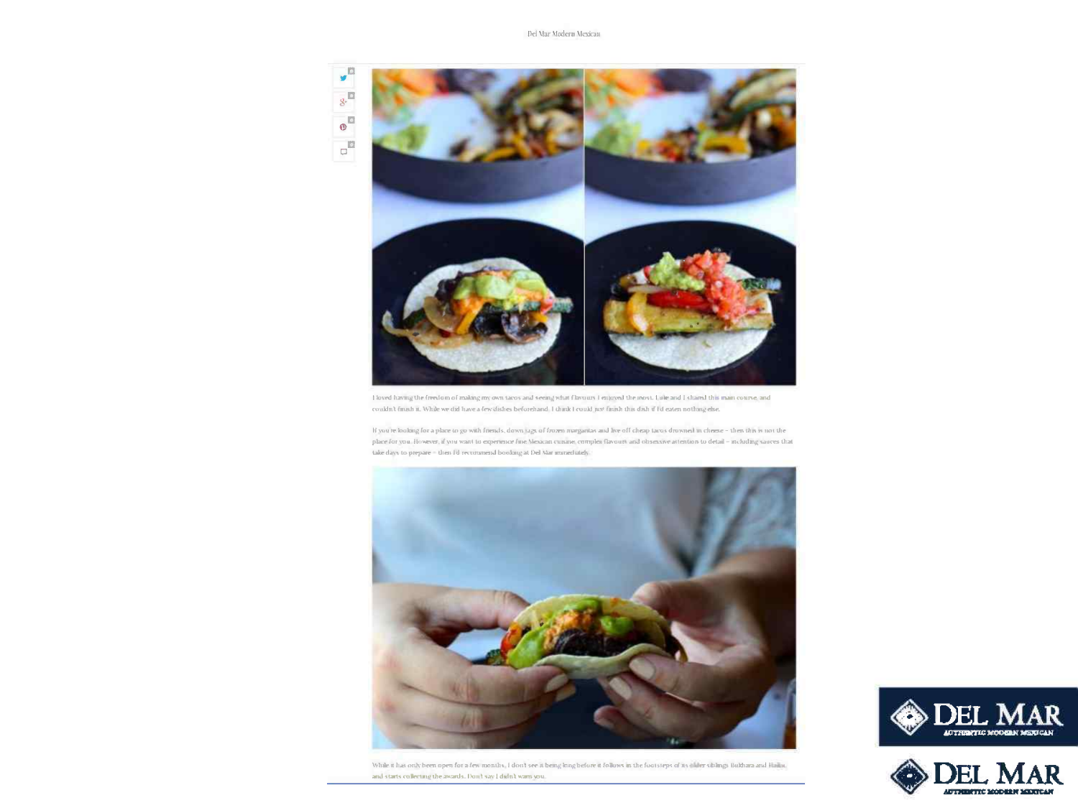

I loved having the freedom of making my own tacos and seeing what flavours I enjoyed the most. Lule and I shared this main course, and couldn't finish it. While we did have a few dishes beforehand I think I could just finish this dish if I'd eaten nothing else.

If you're looking for a place to go with friends, down sigs of frozen marginitas and live off cheap tacos drowned in cheese - then this is not the place for you. However, if you want to experience fine Mexican cuisine, complex flavours and obsessive attention to detail - including sauces that take days to prepare = then I'd recommend boolong at Del Var immediately.



While it has only been open for a few months, I don't see it being brig before it follows in the footsteps of its illuler sixlings Bulthara and Hailuc. and starts collecting the awards. Don't say I didn't warn you.